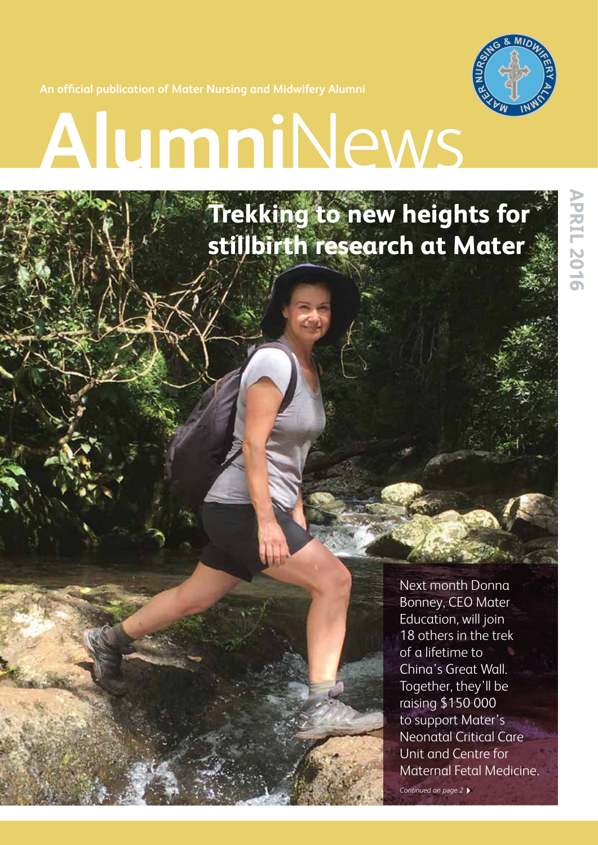

**An official publication of Mater Nursing and Midwifery Alumni** 

# AlumniNews

# **Trekking to new heights for stillbirth research at Mater**

Next month Donna Bonney, CEO Mater Education, will join 18 others in the trek of a lifetime to China's Great Wall. Together, they'll be raising \$150 000 to support Mater's Neonatal Critical Care Unit and Centre for Maternal Fetal Medicine.

*Continued on page 2*4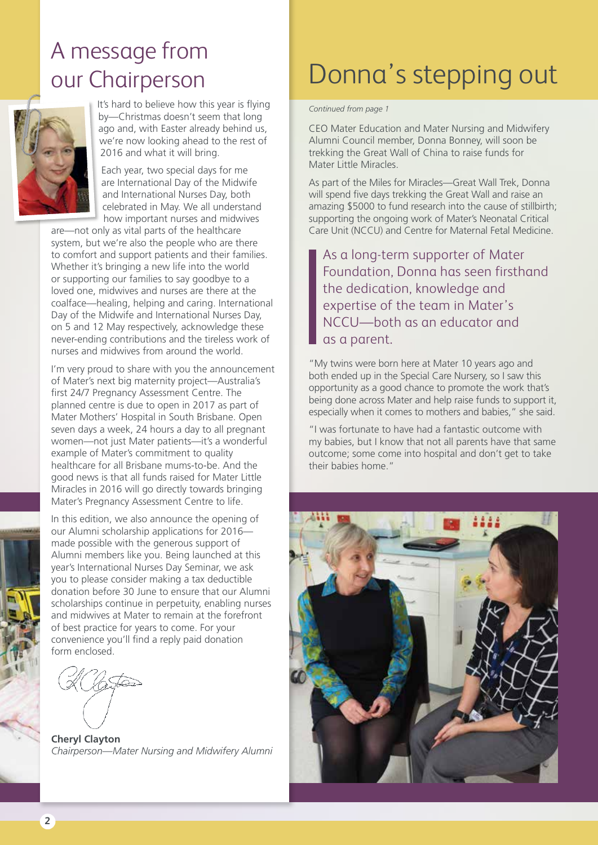# A message from our Chairperson



It's hard to believe how this year is flying by—Christmas doesn't seem that long ago and, with Easter already behind us, we're now looking ahead to the rest of 2016 and what it will bring.

Each year, two special days for me are International Day of the Midwife and International Nurses Day, both celebrated in May. We all understand how important nurses and midwives

are—not only as vital parts of the healthcare system, but we're also the people who are there to comfort and support patients and their families. Whether it's bringing a new life into the world or supporting our families to say goodbye to a loved one, midwives and nurses are there at the coalface—healing, helping and caring. International Day of the Midwife and International Nurses Day, on 5 and 12 May respectively, acknowledge these never-ending contributions and the tireless work of nurses and midwives from around the world.

I'm very proud to share with you the announcement of Mater's next big maternity project—Australia's first 24/7 Pregnancy Assessment Centre. The planned centre is due to open in 2017 as part of Mater Mothers' Hospital in South Brisbane. Open seven days a week, 24 hours a day to all pregnant women—not just Mater patients—it's a wonderful example of Mater's commitment to quality healthcare for all Brisbane mums-to-be. And the good news is that all funds raised for Mater Little Miracles in 2016 will go directly towards bringing Mater's Pregnancy Assessment Centre to life.

In this edition, we also announce the opening of our Alumni scholarship applications for 2016 made possible with the generous support of Alumni members like you. Being launched at this year's International Nurses Day Seminar, we ask you to please consider making a tax deductible donation before 30 June to ensure that our Alumni scholarships continue in perpetuity, enabling nurses and midwives at Mater to remain at the forefront of best practice for years to come. For your convenience you'll find a reply paid donation form enclosed.

**Cheryl Clayton** *Chairperson—Mater Nursing and Midwifery Alumni*

# Donna's stepping out

*Continued from page 1*

CEO Mater Education and Mater Nursing and Midwifery Alumni Council member, Donna Bonney, will soon be trekking the Great Wall of China to raise funds for Mater Little Miracles.

As part of the Miles for Miracles—Great Wall Trek, Donna will spend five days trekking the Great Wall and raise an amazing \$5000 to fund research into the cause of stillbirth; supporting the ongoing work of Mater's Neonatal Critical Care Unit (NCCU) and Centre for Maternal Fetal Medicine.

As a long-term supporter of Mater Foundation, Donna has seen firsthand the dedication, knowledge and expertise of the team in Mater's NCCU—both as an educator and as a parent.

"My twins were born here at Mater 10 years ago and both ended up in the Special Care Nursery, so I saw this opportunity as a good chance to promote the work that's being done across Mater and help raise funds to support it, especially when it comes to mothers and babies," she said.

"I was fortunate to have had a fantastic outcome with my babies, but I know that not all parents have that same outcome; some come into hospital and don't get to take their babies home."

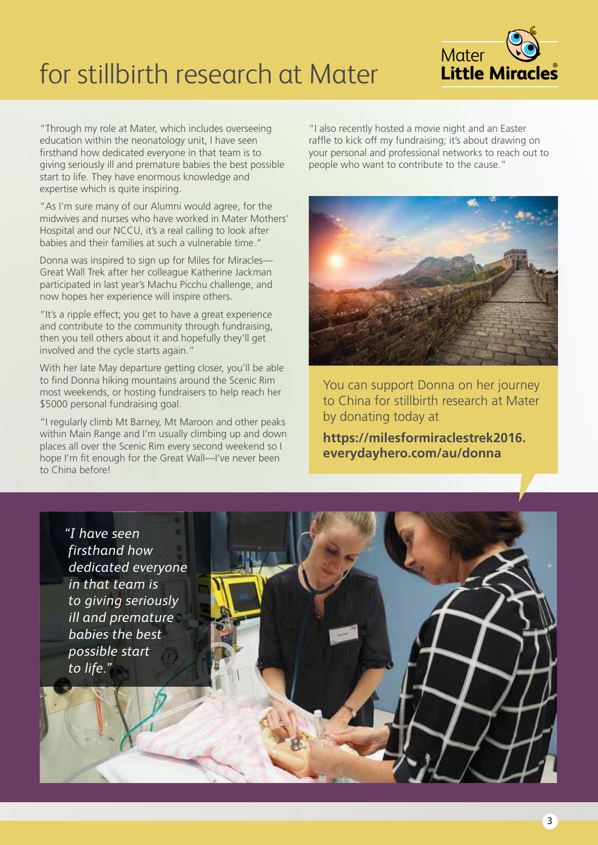# for stillbirth research at Mater



"Through my role at Mater, which includes overseeing education within the neonatology unit, I have seen firsthand how dedicated everyone in that team is to giving seriously ill and premature babies the best possible start to life. They have enormous knowledge and expertise which is quite inspiring.

"As I'm sure many of our Alumni would agree, for the midwives and nurses who have worked in Mater Mothers' Hospital and our NCCU, it's a real calling to look after babies and their families at such a vulnerable time."

Donna was inspired to sign up for Miles for Miracles— Great Wall Trek after her colleague Katherine Jackman participated in last year's Machu Picchu challenge, and now hopes her experience will inspire others.

"It's a ripple effect; you get to have a great experience and contribute to the community through fundraising, then you tell others about it and hopefully they'll get involved and the cycle starts again."

With her late May departure getting closer, you'll be able to find Donna hiking mountains around the Scenic Rim most weekends, or hosting fundraisers to help reach her \$5000 personal fundraising goal.

"I regularly climb Mt Barney, Mt Maroon and other peaks within Main Range and I'm usually climbing up and down places all over the Scenic Rim every second weekend so I hope I'm fit enough for the Great Wall—I've never been to China before!

"I also recently hosted a movie night and an Easter raffle to kick off my fundraising; it's about drawing on your personal and professional networks to reach out to people who want to contribute to the cause."



You can support Donna on her journey to China for stillbirth research at Mater by donating today at

**https://milesformiraclestrek2016. everydayhero.com/au/donna**

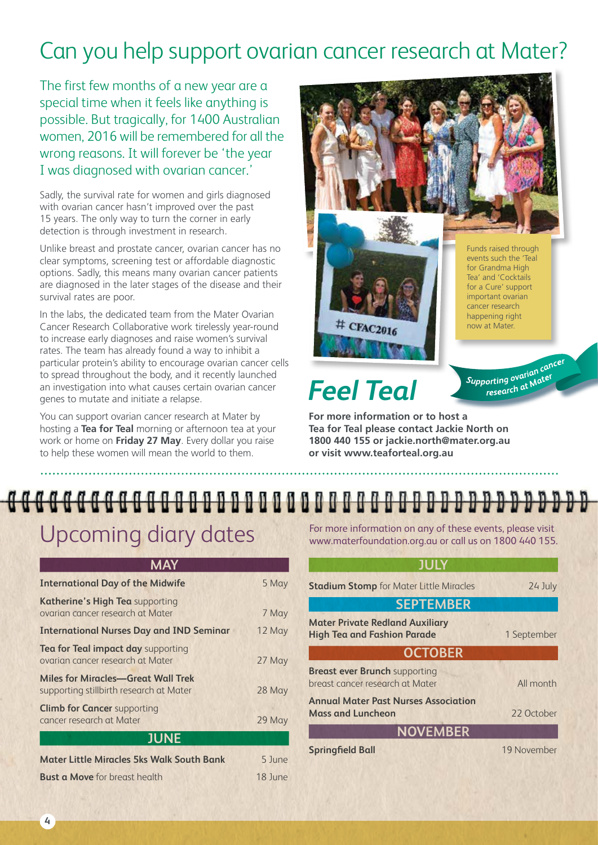# Can you help support ovarian cancer research at Mater?

The first few months of a new year are a special time when it feels like anything is possible. But tragically, for 1400 Australian women, 2016 will be remembered for all the wrong reasons. It will forever be 'the year I was diagnosed with ovarian cancer.'

Sadly, the survival rate for women and girls diagnosed with ovarian cancer hasn't improved over the past 15 years. The only way to turn the corner in early detection is through investment in research.

Unlike breast and prostate cancer, ovarian cancer has no clear symptoms, screening test or affordable diagnostic options. Sadly, this means many ovarian cancer patients are diagnosed in the later stages of the disease and their survival rates are poor.

In the labs, the dedicated team from the Mater Ovarian Cancer Research Collaborative work tirelessly year-round to increase early diagnoses and raise women's survival rates. The team has already found a way to inhibit a particular protein's ability to encourage ovarian cancer cells to spread throughout the body, and it recently launched an investigation into what causes certain ovarian cancer genes to mutate and initiate a relapse.

You can support ovarian cancer research at Mater by hosting a **Tea for Teal** morning or afternoon tea at your work or home on **Friday 27 May**. Every dollar you raise to help these women will mean the world to them.



# *Feel Teal*

**For more information or to host a Tea for Teal please contact Jackie North on 1800 440 155 or jackie.north@mater.org.au or visit www.teaforteal.org.au** 

# 

### Upcoming diary dates

| <b>International Day of the Midwife</b>                                              | 5 May   |
|--------------------------------------------------------------------------------------|---------|
| Katherine's High Tea supporting<br>ovarian cancer research at Mater                  | 7 May   |
| <b>International Nurses Day and IND Seminar</b>                                      | 12 May  |
| <b>Tea for Teal impact day supporting</b><br>ovarian cancer research at Mater        | 27 May  |
| <b>Miles for Miracles-Great Wall Trek</b><br>supporting stillbirth research at Mater | 28 May  |
| <b>Climb for Cancer supporting</b><br>cancer research at Mater                       | 29 May  |
| <b>JUNE</b>                                                                          |         |
| <b>Mater Little Miracles 5ks Walk South Bank</b>                                     | 5 June  |
| <b>Bust a Move</b> for breast health                                                 | 18 June |

For more information on any of these events, please visit www.materfoundation.org.au or call us on 1800 440 155.

| <b>JULY</b>                                                                  |             |  |
|------------------------------------------------------------------------------|-------------|--|
| <b>Stadium Stomp</b> for Mater Little Miracles                               | 24 July     |  |
| <b>SEPTEMBER</b>                                                             |             |  |
| <b>Mater Private Redland Auxiliary</b><br><b>High Tea and Fashion Parade</b> | 1 September |  |
| <b>OCTOBER</b>                                                               |             |  |
| <b>Breast ever Brunch supporting</b><br>breast cancer research at Mater      | All month   |  |
| <b>Annual Mater Past Nurses Association</b><br><b>Mass and Luncheon</b>      | 22 October  |  |
| <b>NOVEMBER</b>                                                              |             |  |
| <b>Springfield Ball</b>                                                      | 19 November |  |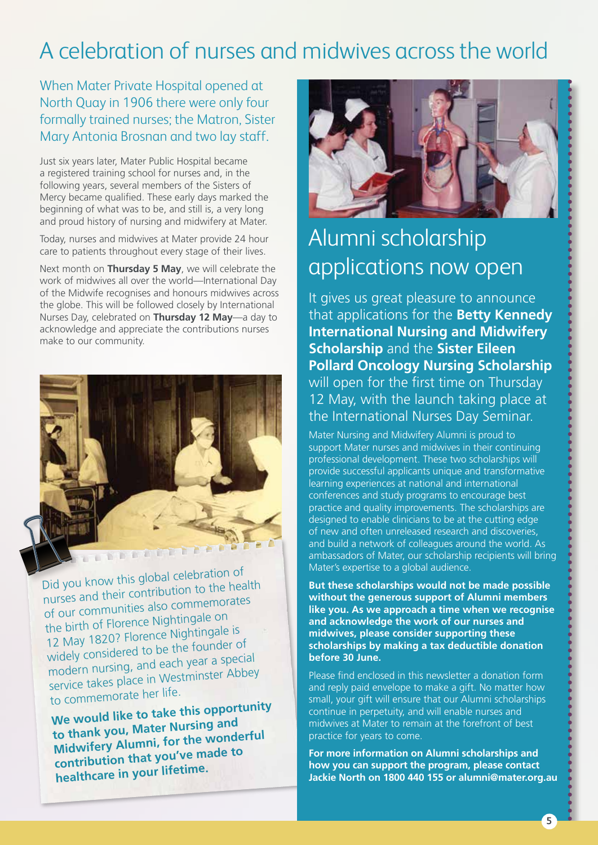# A celebration of nurses and midwives across the world

When Mater Private Hospital opened at North Quay in 1906 there were only four formally trained nurses; the Matron, Sister Mary Antonia Brosnan and two lay staff.

Just six years later, Mater Public Hospital became a registered training school for nurses and, in the following years, several members of the Sisters of Mercy became qualified. These early days marked the beginning of what was to be, and still is, a very long and proud history of nursing and midwifery at Mater.

Today, nurses and midwives at Mater provide 24 hour care to patients throughout every stage of their lives.

Next month on **Thursday 5 May**, we will celebrate the work of midwives all over the world—International Day of the Midwife recognises and honours midwives across the globe. This will be followed closely by International Nurses Day, celebrated on **Thursday 12 May**—a day to acknowledge and appreciate the contributions nurses make to our community.



Did you know this global celebration o<sup>f</sup> nurses and their contribution to the health of our communities also commemorates the birth of Florence Nightingale on 12 May 1820? Florence Nightingale is widely considered to be the founder o<sup>f</sup> modern nursing, and each year a special service takes place in Westminster Abbey to commemorate her life.

**We would like to take this opportunity to thank you, Mater Nursing an<sup>d</sup> Midwifery Alumni, for the wonderful contribution that you've made to healthcare in your lifetime.**



# Alumni scholarship applications now open

It gives us great pleasure to announce that applications for the **Betty Kennedy International Nursing and Midwifery Scholarship** and the **Sister Eileen Pollard Oncology Nursing Scholarship** will open for the first time on Thursday 12 May, with the launch taking place at the International Nurses Day Seminar.

Mater Nursing and Midwifery Alumni is proud to support Mater nurses and midwives in their continuing professional development. These two scholarships will provide successful applicants unique and transformative learning experiences at national and international conferences and study programs to encourage best practice and quality improvements. The scholarships are designed to enable clinicians to be at the cutting edge of new and often unreleased research and discoveries, and build a network of colleagues around the world. As ambassadors of Mater, our scholarship recipients will bring Mater's expertise to a global audience.

**But these scholarships would not be made possible without the generous support of Alumni members like you. As we approach a time when we recognise and acknowledge the work of our nurses and midwives, please consider supporting these scholarships by making a tax deductible donation before 30 June.** 

Please find enclosed in this newsletter a donation form and reply paid envelope to make a gift. No matter how small, your gift will ensure that our Alumni scholarships continue in perpetuity, and will enable nurses and midwives at Mater to remain at the forefront of best practice for years to come.

**For more information on Alumni scholarships and how you can support the program, please contact Jackie North on 1800 440 155 or alumni@mater.org.au**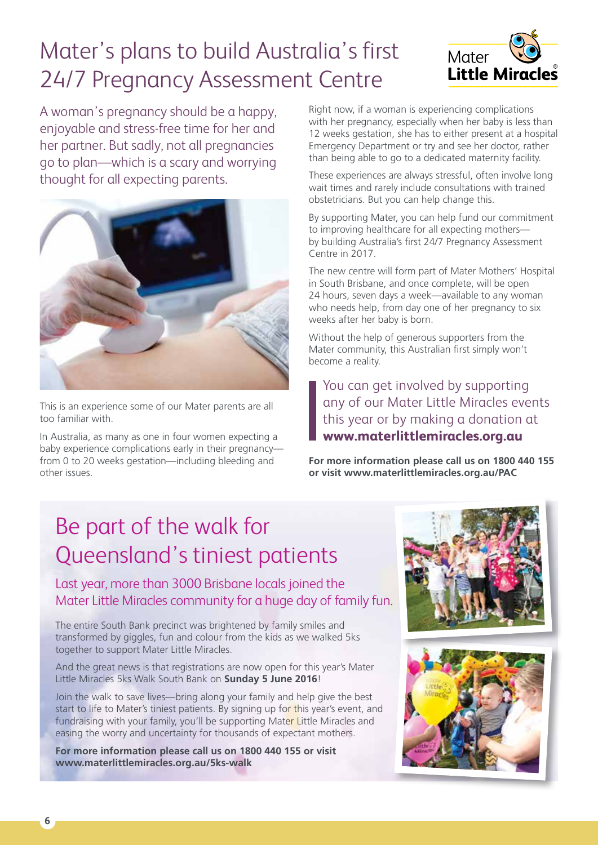# Mater's plans to build Australia's first 24/7 Pregnancy Assessment Centre



A woman's pregnancy should be a happy, enjoyable and stress-free time for her and her partner. But sadly, not all pregnancies go to plan—which is a scary and worrying thought for all expecting parents.



This is an experience some of our Mater parents are all too familiar with.

In Australia, as many as one in four women expecting a baby experience complications early in their pregnancyfrom 0 to 20 weeks gestation—including bleeding and other issues.

Right now, if a woman is experiencing complications with her pregnancy, especially when her baby is less than 12 weeks gestation, she has to either present at a hospital Emergency Department or try and see her doctor, rather than being able to go to a dedicated maternity facility.

These experiences are always stressful, often involve long wait times and rarely include consultations with trained obstetricians. But you can help change this.

By supporting Mater, you can help fund our commitment to improving healthcare for all expecting mothers by building Australia's first 24/7 Pregnancy Assessment Centre in 2017.

The new centre will form part of Mater Mothers' Hospital in South Brisbane, and once complete, will be open 24 hours, seven days a week—available to any woman who needs help, from day one of her pregnancy to six weeks after her baby is born.

Without the help of generous supporters from the Mater community, this Australian first simply won't become a reality.

You can get involved by supporting any of our Mater Little Miracles events this year or by making a donation at **www.materlittlemiracles.org.au** 

**For more information please call us on 1800 440 155 or visit www.materlittlemiracles.org.au/PAC** 

# Be part of the walk for Queensland's tiniest patients

Last year, more than 3000 Brisbane locals joined the Mater Little Miracles community for a huge day of family fun.

The entire South Bank precinct was brightened by family smiles and transformed by giggles, fun and colour from the kids as we walked 5ks together to support Mater Little Miracles.

And the great news is that registrations are now open for this year's Mater Little Miracles 5ks Walk South Bank on **Sunday 5 June 2016**!

Join the walk to save lives—bring along your family and help give the best start to life to Mater's tiniest patients. By signing up for this year's event, and fundraising with your family, you'll be supporting Mater Little Miracles and easing the worry and uncertainty for thousands of expectant mothers.

**For more information please call us on 1800 440 155 or visit www.materlittlemiracles.org.au/5ks-walk**

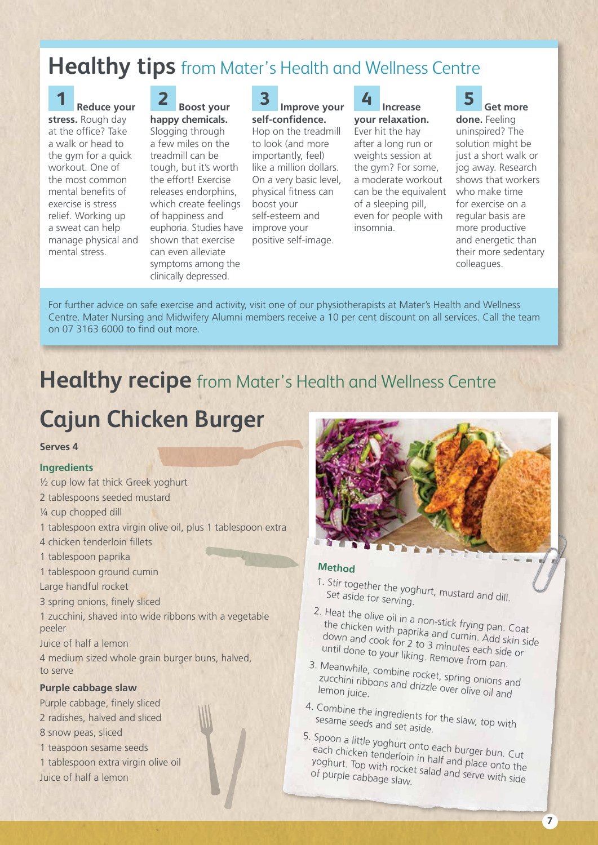### **Healthy tips** from Mater's Health and Wellness Centre

#### **1 Reduce your stress.** Rough day at the office? Take a walk or head to the gym for a quick workout. One of the most common mental benefits of exercise is stress relief. Working up a sweat can help manage physical and mental stress.

#### **2 Boost your happy chemicals.**

Slogging through a few miles on the treadmill can be tough, but it's worth the effort! Exercise releases endorphins, which create feelings of happiness and euphoria. Studies have shown that exercise can even alleviate symptoms among the clinically depressed.

#### **3 Improve your self-confidence.**

Hop on the treadmill to look (and more importantly, feel) like a million dollars. On a very basic level, physical fitness can boost your self-esteem and improve your positive self-image.

**4 Increase your relaxation.**  Ever hit the hay after a long run or weights session at the gym? For some, a moderate workout can be the equivalent of a sleeping pill,

even for people with

insomnia.



**5 Get more done.** Feeling

uninspired? The solution might be just a short walk or jog away. Research shows that workers who make time for exercise on a regular basis are more productive and energetic than their more sedentary colleagues.

For further advice on safe exercise and activity, visit one of our physiotherapists at Mater's Health and Wellness Centre. Mater Nursing and Midwifery Alumni members receive a 10 per cent discount on all services. Call the team on 07 3163 6000 to find out more.

### **Healthy recipe** from Mater's Health and Wellness Centre

# **Cajun Chicken Burger**

#### **Serves 4**

#### **Ingredients**

- ½ cup low fat thick Greek yoghurt
- 2 tablespoons seeded mustard
- ¼ cup chopped dill
- 1 tablespoon extra virgin olive oil, plus 1 tablespoon extra
- 4 chicken tenderloin fillets
- 1 tablespoon paprika
- 1 tablespoon ground cumin

Large handful rocket

- 3 spring onions, finely sliced
- 1 zucchini, shaved into wide ribbons with a vegetable peeler
- Juice of half a lemon

4 medium sized whole grain burger buns, halved, to serve

#### **Purple cabbage slaw**

- Purple cabbage, finely sliced 2 radishes, halved and sliced
- 8 snow peas, sliced
- 1 teaspoon sesame seeds
- 1 tablespoon extra virgin olive oil Juice of half a lemon



#### **Method**

- 1. Stir together the yoghurt, mustard and dill. Set aside for serving.
- 2. Heat the olive oil in a non-stick frying pan. Coat the chicken with paprika and cumin. Add skin side down and cook for 2 to 3 minutes each side or until done to your liking. Remove from pan.
- 3. Meanwhile, combine rocket, spring onions and zucchini ribbons and drizzle over olive oil and<br>lemon juice.
- 4. Combine the ingredients for the slaw, top with sesame seeds and set aside.
- 5. Spoon a little yoghurt onto each burger bun. Cut each chicken tenderloin in half and place onto the<br>yoghurt. Top with rocket salad and serve with side<br>of purple cabbage slaw yoghurt. Top with rocket salad and place onto the<br>of purple cabbage slaw.